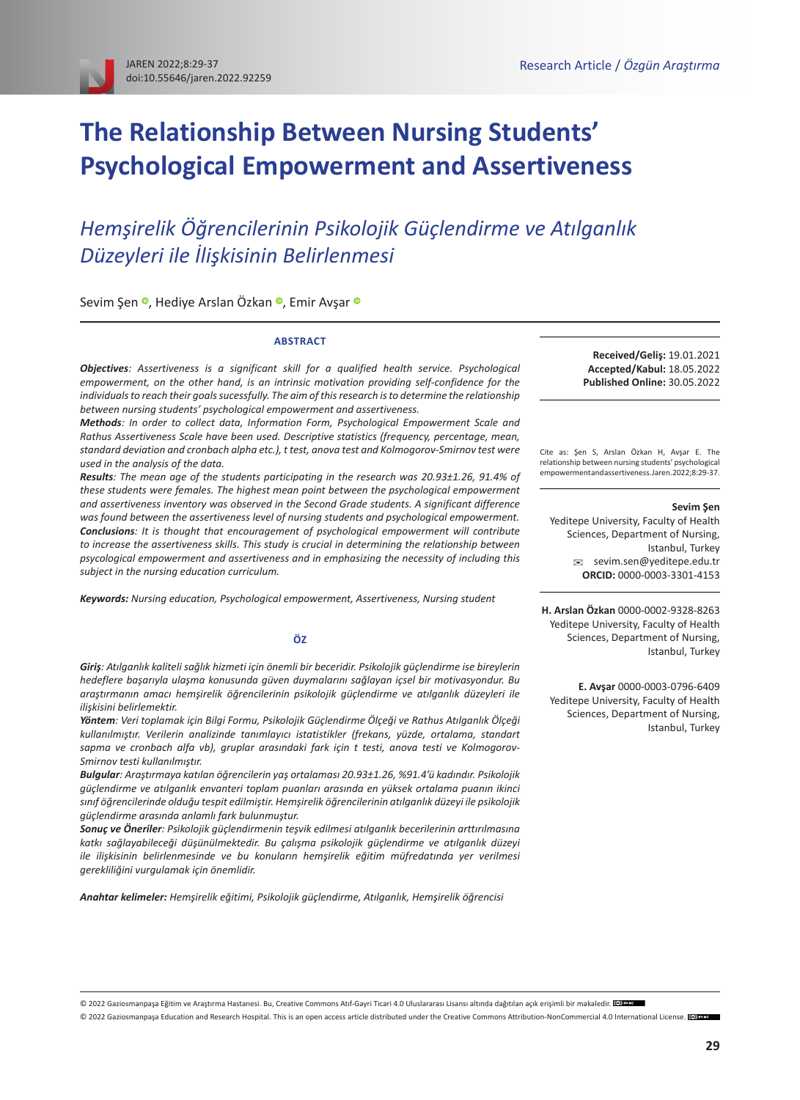# **The Relationship Between Nursing Students' Psychological Empowerment and Assertiveness**

# *Hemşirelik Öğrencilerinin Psikolojik Güçlendirme ve Atılganlık Düzeyleri ile İlişkisinin Belirlenmesi*

SevimŞen ·, Hediye Arslan Özkan ·, Emir Avşar ·

#### **ABSTRACT**

*Objectives: Assertiveness is a significant skill for a qualified health service. Psychological empowerment, on the other hand, is an intrinsic motivation providing self-confidence for the individuals to reach their goals sucessfully. The aim of this research is to determine the relationship between nursing students' psychological empowerment and assertiveness.*

*Methods: In order to collect data, Information Form, Psychological Empowerment Scale and Rathus Assertiveness Scale have been used. Descriptive statistics (frequency, percentage, mean, standard deviation and cronbach alpha etc.), t test, anova test and Kolmogorov-Smirnov test were used in the analysis of the data.*

*Results: The mean age of the students participating in the research was 20.93±1.26, 91.4% of these students were females. The highest mean point between the psychological empowerment and assertiveness inventory was observed in the Second Grade students. A significant difference was found between the assertiveness level of nursing students and psychological empowerment. Conclusions: It is thought that encouragement of psychological empowerment will contribute to increase the assertiveness skills. This study is crucial in determining the relationship between psycological empowerment and assertiveness and in emphasizing the necessity of including this subject in the nursing education curriculum.*

*Keywords: Nursing education, Psychological empowerment, Assertiveness, Nursing student*

#### **ÖZ**

*Giriş: Atılganlık kaliteli sağlık hizmeti için önemli bir beceridir. Psikolojik güçlendirme ise bireylerin hedeflere başarıyla ulaşma konusunda güven duymalarını sağlayan içsel bir motivasyondur. Bu araştırmanın amacı hemşirelik öğrencilerinin psikolojik güçlendirme ve atılganlık düzeyleri ile ilişkisini belirlemektir.*

*Yöntem: Veri toplamak için Bilgi Formu, Psikolojik Güçlendirme Ölçeği ve Rathus Atılganlık Ölçeği kullanılmıştır. Verilerin analizinde tanımlayıcı istatistikler (frekans, yüzde, ortalama, standart sapma ve cronbach alfa vb), gruplar arasındaki fark için t testi, anova testi ve Kolmogorov-Smirnov testi kullanılmıştır.* 

*Bulgular: Araştırmaya katılan öğrencilerin yaş ortalaması 20.93±1.26, %91.4'ü kadındır. Psikolojik güçlendirme ve atılganlık envanteri toplam puanları arasında en yüksek ortalama puanın ikinci sınıf öğrencilerinde olduğu tespit edilmiştir. Hemşirelik öğrencilerinin atılganlık düzeyi ile psikolojik güçlendirme arasında anlamlı fark bulunmuştur.*

*Sonuç ve Öneriler: Psikolojik güçlendirmenin teşvik edilmesi atılganlık becerilerinin arttırılmasına katkı sağlayabileceği düşünülmektedir. Bu çalışma psikolojik güçlendirme ve atılganlık düzeyi ile ilişkisinin belirlenmesinde ve bu konuların hemşirelik eğitim müfredatında yer verilmesi gerekliliğini vurgulamak için önemlidir.*

*Anahtar kelimeler: Hemşirelik eğitimi, Psikolojik güçlendirme, Atılganlık, Hemşirelik öğrencisi*

**Received/Geliş:** 19.01.2021 **Accepted/Kabul:** 18.05.2022 **Published Online:** 30.05.2022

Cite as: Şen S, Arslan Özkan H, Avşar E. The relationship between nursing students' psychological empowerment and assertiveness. Jaren. 2022;8:29-37.

#### **Sevim Şen**

Yeditepe University, Faculty of Health Sciences, Department of Nursing, Istanbul, Turkey [sevim.sen@yeditepe.edu.tr](mailto:sevim.sen%40yeditepe.edu.tr?subject=) **ORCID:** [0000-0003-3301-4153](mailto:https://orcid.org/0000-0003-3301-4153?subject=)

**H. Arslan Özkan** [0000-0002-9328-8263](https://orcid.org/0000-0002-9328-8263) Yeditepe University, Faculty of Health Sciences, Department of Nursing, Istanbul, Turkey

**E. Avşar** [0000-0003-0796-6409](https://orcid.org/0000-0003-0796-6409) Yeditepe University, Faculty of Health Sciences, Department of Nursing, Istanbul, Turkey

© 2022 Gaziosmanpaşa Eğitim ve Araştırma Hastanesi. Bu, [Creative Commons Atıf-Gayri Ticari 4.0 Uluslararası Lisansı](https://creativecommons.org/licenses/by-nc/4.0/deed.tr) altındadağıtılan açık erişimli bir makaledir. <sup>[@]</sup>

© 2022 Gaziosmanpaşa Education and Research Hospital. This is an open access article distributed under the [Creative Commons Attribution-NonCommercial 4.0 International License.](https://creativecommons.org/licenses/by-nc/4.0/) @ The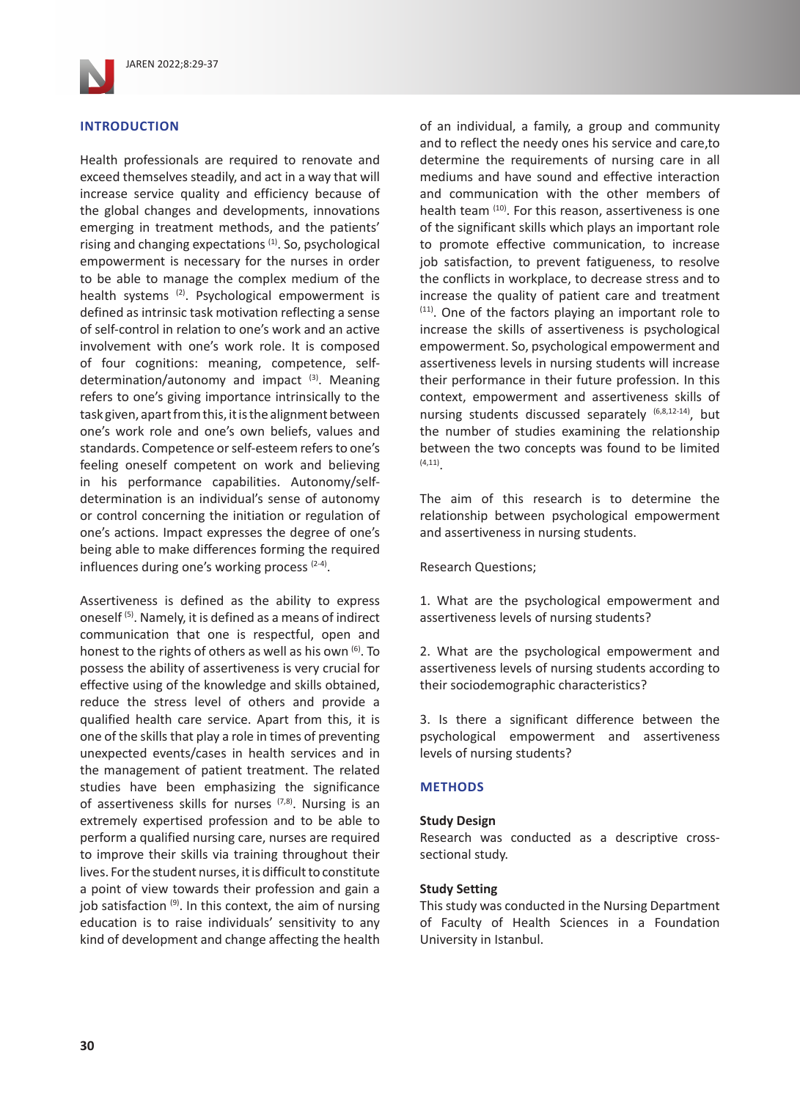

# **INTRODUCTION**

Health professionals are required to renovate and exceed themselves steadily, and act in a way that will increase service quality and efficiency because of the global changes and developments, innovations emerging in treatment methods, and the patients' rising and changing expectations<sup>(1)</sup>. So, psychological empowerment is necessary for the nurses in order to be able to manage the complex medium of the health systems (2). Psychological empowerment is defined as intrinsic task motivation reflecting a sense of self-control in relation to one's work and an active involvement with one's work role. It is composed of four cognitions: meaning, competence, selfdetermination/autonomy and impact  $(3)$ . Meaning refers to one's giving importance intrinsically to the task given, apart from this, it is the alignment between one's work role and one's own beliefs, values and standards. Competence or self-esteem refers to one's feeling oneself competent on work and believing in his performance capabilities. Autonomy/selfdetermination is an individual's sense of autonomy or control concerning the initiation or regulation of one's actions. Impact expresses the degree of one's being able to make differences forming the required influences during one's working process  $(2-4)$ .

Assertiveness is defined as the ability to express oneself (5). Namely, it is defined as a means of indirect communication that one is respectful, open and honest to the rights of others as well as his own  $(6)$ . To possess the ability of assertiveness is very crucial for effective using of the knowledge and skills obtained, reduce the stress level of others and provide a qualified health care service. Apart from this, it is one of the skills that play a role in times of preventing unexpected events/cases in health services and in the management of patient treatment. The related studies have been emphasizing the significance of assertiveness skills for nurses  $(7,8)$ . Nursing is an extremely expertised profession and to be able to perform a qualified nursing care, nurses are required to improve their skills via training throughout their lives. For the student nurses, it is difficult to constitute a point of view towards their profession and gain a job satisfaction (9). In this context, the aim of nursing education is to raise individuals' sensitivity to any kind of development and change affecting the health

of an individual, a family, a group and community and to reflect the needy ones his service and care,to determine the requirements of nursing care in all mediums and have sound and effective interaction and communication with the other members of health team (10). For this reason, assertiveness is one of the significant skills which plays an important role to promote effective communication, to increase job satisfaction, to prevent fatigueness, to resolve the conflicts in workplace, to decrease stress and to increase the quality of patient care and treatment (11). One of the factors playing an important role to increase the skills of assertiveness is psychological empowerment. So, psychological empowerment and assertiveness levels in nursing students will increase their performance in their future profession. In this context, empowerment and assertiveness skills of nursing students discussed separately (6,8,12-14), but the number of studies examining the relationship between the two concepts was found to be limited  $(4, 11)$ 

The aim of this research is to determine the relationship between psychological empowerment and assertiveness in nursing students.

Research Questions;

1. What are the psychological empowerment and assertiveness levels of nursing students?

2. What are the psychological empowerment and assertiveness levels of nursing students according to their sociodemographic characteristics?

3. Is there a significant difference between the psychological empowerment and assertiveness levels of nursing students?

# **METHODS**

### **Study Design**

Research was conducted as a descriptive crosssectional study.

## **Study Setting**

This study was conducted in the Nursing Department of Faculty of Health Sciences in a Foundation University in Istanbul.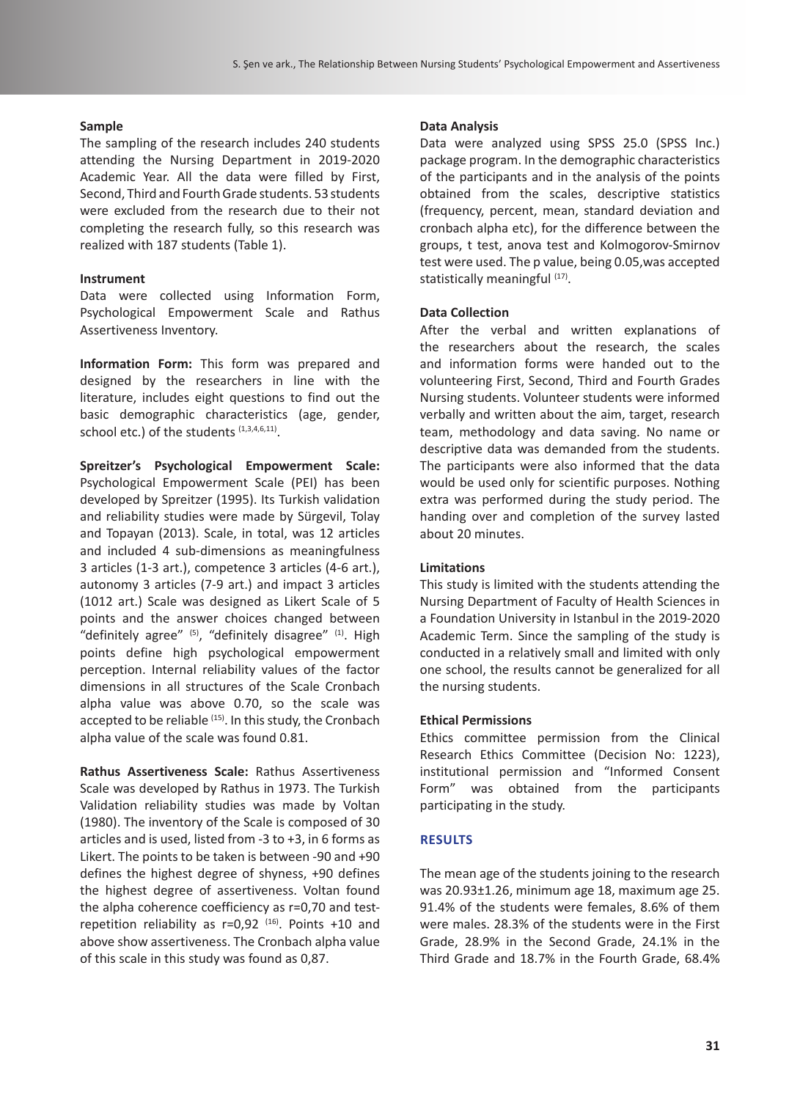#### **Sample**

The sampling of the research includes 240 students attending the Nursing Department in 2019-2020 Academic Year. All the data were filled by First, Second, Third and Fourth Grade students. 53 students were excluded from the research due to their not completing the research fully, so this research was realized with 187 students (Table 1).

#### **Instrument**

Data were collected using Information Form, Psychological Empowerment Scale and Rathus Assertiveness Inventory.

**Information Form:** This form was prepared and designed by the researchers in line with the literature, includes eight questions to find out the basic demographic characteristics (age, gender, school etc.) of the students (1,3,4,6,11).

**Spreitzer's Psychological Empowerment Scale:**  Psychological Empowerment Scale (PEI) has been developed by Spreitzer (1995). Its Turkish validation and reliability studies were made by Sürgevil, Tolay and Topayan (2013). Scale, in total, was 12 articles and included 4 sub-dimensions as meaningfulness 3 articles (1-3 art.), competence 3 articles (4-6 art.), autonomy 3 articles (7-9 art.) and impact 3 articles (1012 art.) Scale was designed as Likert Scale of 5 points and the answer choices changed between "definitely agree"  $(5)$ , "definitely disagree"  $(1)$ . High points define high psychological empowerment perception. Internal reliability values of the factor dimensions in all structures of the Scale Cronbach alpha value was above 0.70, so the scale was accepted to be reliable (15). In this study, the Cronbach alpha value of the scale was found 0.81.

**Rathus Assertiveness Scale:** Rathus Assertiveness Scale was developed by Rathus in 1973. The Turkish Validation reliability studies was made by Voltan (1980). The inventory of the Scale is composed of 30 articles and is used, listed from -3 to +3, in 6 forms as Likert. The points to be taken is between -90 and +90 defines the highest degree of shyness, +90 defines the highest degree of assertiveness. Voltan found the alpha coherence coefficiency as r=0,70 and testrepetition reliability as  $r=0.92$  (16). Points +10 and above show assertiveness. The Cronbach alpha value of this scale in this study was found as 0,87.

### **Data Analysis**

Data were analyzed using SPSS 25.0 (SPSS Inc.) package program. In the demographic characteristics of the participants and in the analysis of the points obtained from the scales, descriptive statistics (frequency, percent, mean, standard deviation and cronbach alpha etc), for the difference between the groups, t test, anova test and Kolmogorov-Smirnov test were used. The p value, being 0.05,was accepted statistically meaningful (17).

#### **Data Collection**

After the verbal and written explanations of the researchers about the research, the scales and information forms were handed out to the volunteering First, Second, Third and Fourth Grades Nursing students. Volunteer students were informed verbally and written about the aim, target, research team, methodology and data saving. No name or descriptive data was demanded from the students. The participants were also informed that the data would be used only for scientific purposes. Nothing extra was performed during the study period. The handing over and completion of the survey lasted about 20 minutes.

#### **Limitations**

This study is limited with the students attending the Nursing Department of Faculty of Health Sciences in a Foundation University in Istanbul in the 2019-2020 Academic Term. Since the sampling of the study is conducted in a relatively small and limited with only one school, the results cannot be generalized for all the nursing students.

#### **Ethical Permissions**

Ethics committee permission from the Clinical Research Ethics Committee (Decision No: 1223), institutional permission and "Informed Consent Form" was obtained from the participants participating in the study.

#### **RESULTS**

The mean age of the students joining to the research was 20.93±1.26, minimum age 18, maximum age 25. 91.4% of the students were females, 8.6% of them were males. 28.3% of the students were in the First Grade, 28.9% in the Second Grade, 24.1% in the Third Grade and 18.7% in the Fourth Grade, 68.4%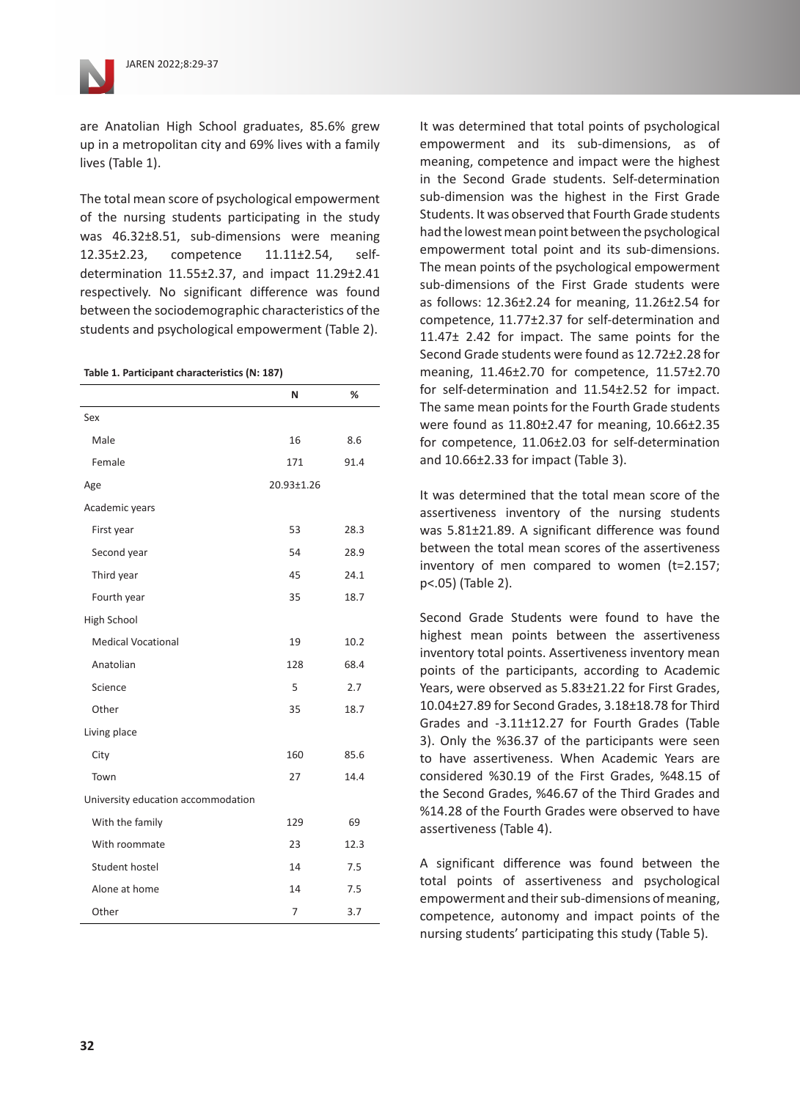

The total mean score of psychological empowerment of the nursing students participating in the study was 46.32±8.51, sub-dimensions were meaning 12.35±2.23, competence 11.11±2.54, selfdetermination 11.55±2.37, and impact 11.29±2.41 respectively. No significant difference was found between the sociodemographic characteristics of the students and psychological empowerment (Table 2).

#### **Table 1. Participant characteristics (N: 187)**

|                                    | N          | %    |
|------------------------------------|------------|------|
| Sex                                |            |      |
| Male                               | 16         | 8.6  |
| Female                             | 171        | 91.4 |
| Age                                | 20.93±1.26 |      |
| Academic years                     |            |      |
| First year                         | 53         | 28.3 |
| Second year                        | 54         | 28.9 |
| Third year                         | 45         | 24.1 |
| Fourth year                        | 35         | 18.7 |
| High School                        |            |      |
| <b>Medical Vocational</b>          | 19         | 10.2 |
| Anatolian                          | 128        | 68.4 |
| Science                            | 5          | 2.7  |
| Other                              | 35         | 18.7 |
| Living place                       |            |      |
| City                               | 160        | 85.6 |
| Town                               | 27         | 14.4 |
| University education accommodation |            |      |
| With the family                    | 129        | 69   |
| With roommate                      | 23         | 12.3 |
| <b>Student hostel</b>              | 14         | 7.5  |
| Alone at home                      | 14         | 7.5  |
| Other                              | 7          | 3.7  |

It was determined that total points of psychological empowerment and its sub-dimensions, as of meaning, competence and impact were the highest in the Second Grade students. Self-determination sub-dimension was the highest in the First Grade Students. It was observed that Fourth Grade students had the lowest mean point between the psychological empowerment total point and its sub-dimensions. The mean points of the psychological empowerment sub-dimensions of the First Grade students were as follows: 12.36±2.24 for meaning, 11.26±2.54 for competence, 11.77±2.37 for self-determination and 11.47± 2.42 for impact. The same points for the Second Grade students were found as 12.72±2.28 for meaning, 11.46±2.70 for competence, 11.57±2.70 for self-determination and 11.54±2.52 for impact. The same mean points for the Fourth Grade students were found as 11.80±2.47 for meaning, 10.66±2.35 for competence, 11.06±2.03 for self-determination and 10.66±2.33 for impact (Table 3).

It was determined that the total mean score of the assertiveness inventory of the nursing students was 5.81±21.89. A significant difference was found between the total mean scores of the assertiveness inventory of men compared to women (t=2.157; p<.05) (Table 2).

Second Grade Students were found to have the highest mean points between the assertiveness inventory total points. Assertiveness inventory mean points of the participants, according to Academic Years, were observed as 5.83±21.22 for First Grades, 10.04±27.89 for Second Grades, 3.18±18.78 for Third Grades and -3.11±12.27 for Fourth Grades (Table 3). Only the %36.37 of the participants were seen to have assertiveness. When Academic Years are considered %30.19 of the First Grades, %48.15 of the Second Grades, %46.67 of the Third Grades and %14.28 of the Fourth Grades were observed to have assertiveness (Table 4).

A significant difference was found between the total points of assertiveness and psychological empowerment and their sub-dimensions of meaning, competence, autonomy and impact points of the nursing students' participating this study (Table 5).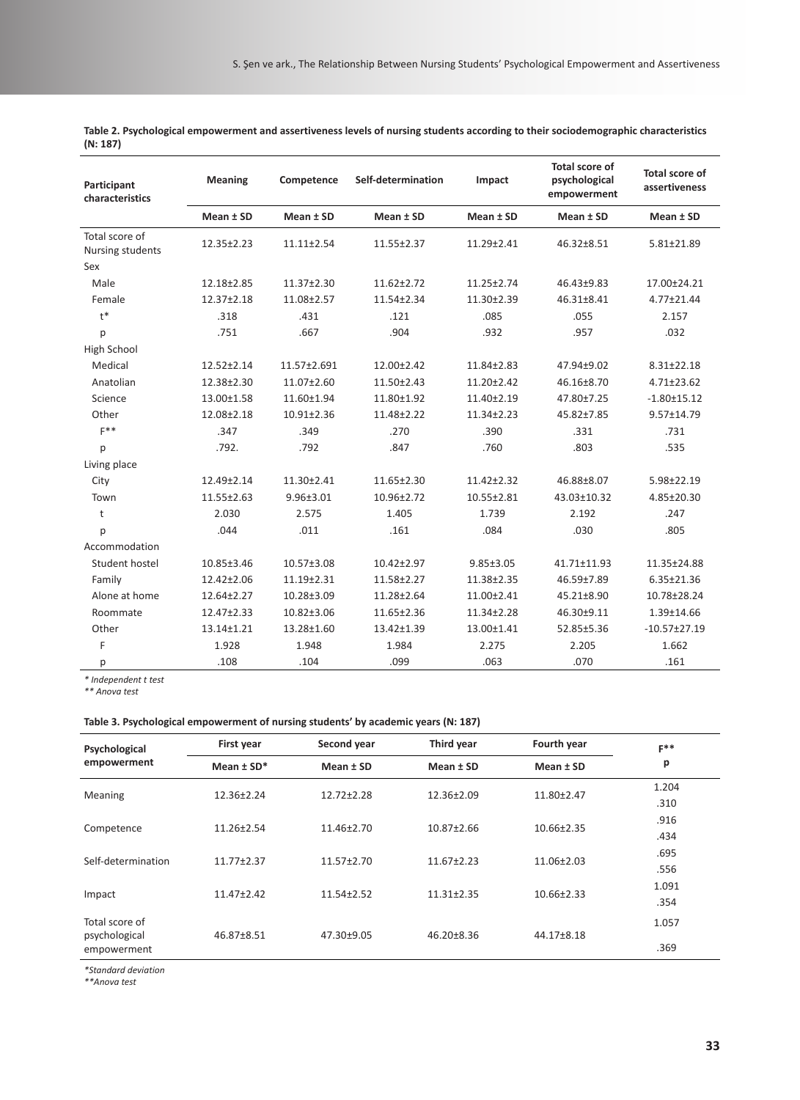| Participant<br>characteristics     | <b>Meaning</b> | Competence       | Self-determination | Impact          | <b>Total score of</b><br>psychological<br>empowerment | <b>Total score of</b><br>assertiveness |
|------------------------------------|----------------|------------------|--------------------|-----------------|-------------------------------------------------------|----------------------------------------|
|                                    | Mean ± SD      | Mean ± SD        | Mean ± SD          | Mean $±$ SD     | Mean ± SD                                             | Mean ± SD                              |
| Total score of<br>Nursing students | 12.35±2.23     | $11.11 \pm 2.54$ | 11.55±2.37         | 11.29±2.41      | 46.32±8.51                                            | 5.81±21.89                             |
| Sex                                |                |                  |                    |                 |                                                       |                                        |
| Male                               | 12.18±2.85     | 11.37±2.30       | 11.62±2.72         | 11.25±2.74      | 46.43±9.83                                            | 17.00±24.21                            |
| Female                             | 12.37±2.18     | 11.08±2.57       | 11.54±2.34         | 11.30±2.39      | 46.31±8.41                                            | 4.77±21.44                             |
| $t^*$                              | .318           | .431             | .121               | .085            | .055                                                  | 2.157                                  |
| р                                  | .751           | .667             | .904               | .932            | .957                                                  | .032                                   |
| High School                        |                |                  |                    |                 |                                                       |                                        |
| Medical                            | 12.52±2.14     | 11.57±2.691      | 12.00±2.42         | 11.84±2.83      | 47.94±9.02                                            | $8.31 \pm 22.18$                       |
| Anatolian                          | 12.38±2.30     | 11.07±2.60       | 11.50±2.43         | 11.20±2.42      | 46.16±8.70                                            | $4.71 \pm 23.62$                       |
| Science                            | 13.00±1.58     | 11.60±1.94       | 11.80±1.92         | 11.40±2.19      | 47.80±7.25                                            | $-1.80 \pm 15.12$                      |
| Other                              | 12.08±2.18     | $10.91 \pm 2.36$ | 11.48±2.22         | 11.34±2.23      | 45.82±7.85                                            | 9.57±14.79                             |
| $F$ **                             | .347           | .349             | .270               | .390            | .331                                                  | .731                                   |
| p                                  | .792.          | .792             | .847               | .760            | .803                                                  | .535                                   |
| Living place                       |                |                  |                    |                 |                                                       |                                        |
| City                               | 12.49±2.14     | 11.30±2.41       | 11.65±2.30         | 11.42±2.32      | 46.88±8.07                                            | 5.98±22.19                             |
| Town                               | 11.55±2.63     | 9.96±3.01        | 10.96±2.72         | 10.55±2.81      | 43.03±10.32                                           | 4.85±20.30                             |
| t                                  | 2.030          | 2.575            | 1.405              | 1.739           | 2.192                                                 | .247                                   |
| p                                  | .044           | .011             | .161               | .084            | .030                                                  | .805                                   |
| Accommodation                      |                |                  |                    |                 |                                                       |                                        |
| Student hostel                     | 10.85±3.46     | 10.57±3.08       | $10.42 \pm 2.97$   | $9.85 \pm 3.05$ | 41.71±11.93                                           | 11.35±24.88                            |
| Family                             | 12.42±2.06     | 11.19±2.31       | 11.58±2.27         | 11.38±2.35      | 46.59±7.89                                            | $6.35 \pm 21.36$                       |
| Alone at home                      | 12.64±2.27     | 10.28±3.09       | 11.28±2.64         | 11.00±2.41      | 45.21±8.90                                            | 10.78±28.24                            |
| Roommate                           | 12.47±2.33     | 10.82±3.06       | 11.65±2.36         | 11.34±2.28      | 46.30±9.11                                            | 1.39±14.66                             |
| Other                              | 13.14±1.21     | 13.28±1.60       | 13.42±1.39         | 13.00±1.41      | 52.85±5.36                                            | $-10.57 \pm 27.19$                     |
| F                                  | 1.928          | 1.948            | 1.984              | 2.275           | 2.205                                                 | 1.662                                  |
| р                                  | .108           | .104             | .099               | .063            | .070                                                  | .161                                   |

**Table 2. Psychological empowerment and assertiveness levels of nursing students according to their sociodemographic characteristics (N: 187)**

*\* Independent t test*

*\*\* Anova test*

#### **Table 3. Psychological empowerment of nursing students' by academic years (N: 187)**

| Psychological<br>empowerment                   | First year       | Second year      | Third year       | Fourth year      | $F**$ |
|------------------------------------------------|------------------|------------------|------------------|------------------|-------|
|                                                | Mean $±$ SD*     | Mean ± SD        | Mean ± SD        | Mean $±$ SD      | p     |
| Meaning                                        | $12.36 \pm 2.24$ | $12.72 \pm 2.28$ | 12.36±2.09       | $11.80 \pm 2.47$ | 1.204 |
|                                                |                  |                  |                  |                  | .310  |
| Competence                                     | 11.26±2.54       | 11.46±2.70       | 10.87±2.66       | $10.66 \pm 2.35$ | .916  |
|                                                |                  |                  |                  |                  | .434  |
| Self-determination                             | $11.77 \pm 2.37$ | $11.57 + 2.70$   | $11.67 \pm 2.23$ | 11.06±2.03       | .695  |
|                                                |                  |                  |                  |                  | .556  |
| Impact                                         | $11.47 \pm 2.42$ | $11.54 \pm 2.52$ | $11.31 \pm 2.35$ | $10.66 \pm 2.33$ | 1.091 |
|                                                |                  |                  |                  |                  | .354  |
| Total score of<br>psychological<br>empowerment | 46.87±8.51       | 47.30±9.05       | 46.20±8.36       | 44.17±8.18       | 1.057 |
|                                                |                  |                  |                  |                  | .369  |

*\*Standard deviation*

*\*\*Anova test*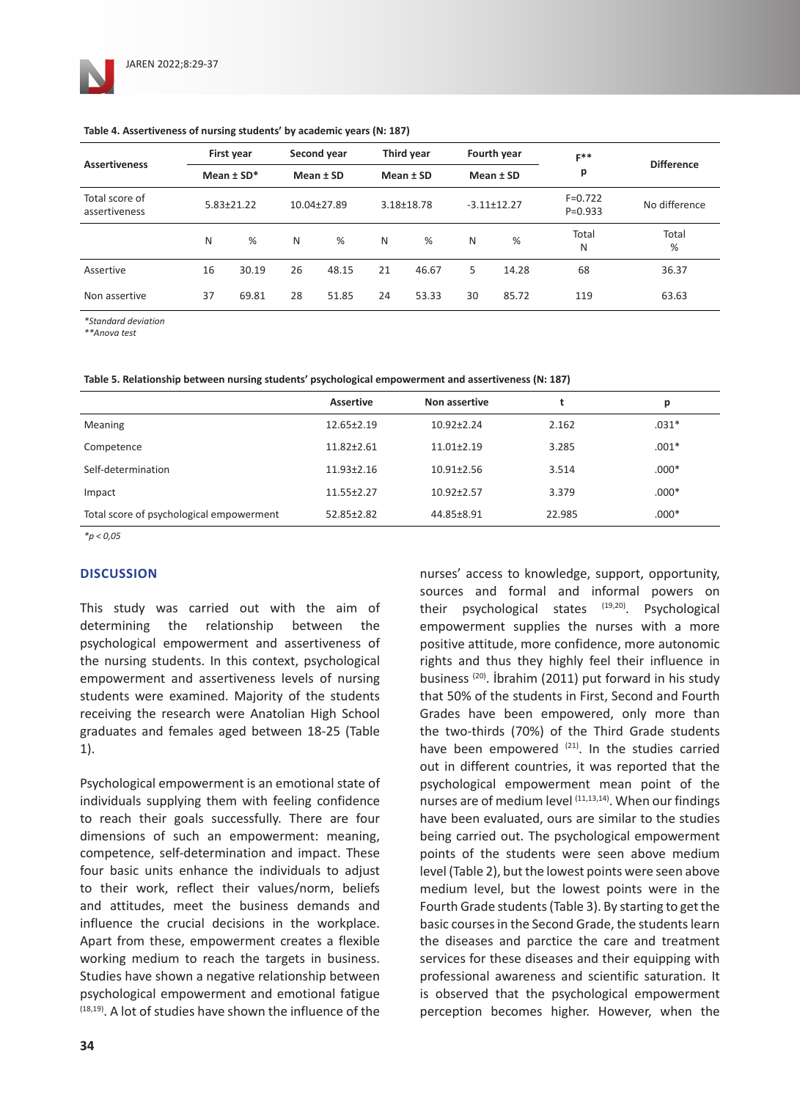| <b>Assertiveness</b>            | First year     |                  | Second year |             |    | Third year     |    | Fourth year       | $F**$<br>р                 | <b>Difference</b> |
|---------------------------------|----------------|------------------|-------------|-------------|----|----------------|----|-------------------|----------------------------|-------------------|
|                                 | Mean $\pm$ SD* |                  | Mean ± SD   |             |    | Mean ± SD      |    | Mean ± SD         |                            |                   |
| Total score of<br>assertiveness |                | $5.83 \pm 21.22$ |             | 10.04±27.89 |    | $3.18 + 18.78$ |    | $-3.11 \pm 12.27$ | $F = 0.722$<br>$P = 0.933$ | No difference     |
|                                 | N              | %                | N           | %           | N  | %              | N  | %                 | Total<br>N                 | Total<br>%        |
| Assertive                       | 16             | 30.19            | 26          | 48.15       | 21 | 46.67          | 5  | 14.28             | 68                         | 36.37             |
| Non assertive                   | 37             | 69.81            | 28          | 51.85       | 24 | 53.33          | 30 | 85.72             | 119                        | 63.63             |

#### **Table 4. Assertiveness of nursing students' by academic years (N: 187)**

*\*Standard deviation*

*\*\*Anova test*

|  | Table 5. Relationship between nursing students' psychological empowerment and assertiveness (N: 187) |  |
|--|------------------------------------------------------------------------------------------------------|--|
|--|------------------------------------------------------------------------------------------------------|--|

|                                          | <b>Assertive</b> | Non assertive    |        | р       |
|------------------------------------------|------------------|------------------|--------|---------|
| Meaning                                  | $12.65 \pm 2.19$ | $10.92 \pm 2.24$ | 2.162  | $.031*$ |
| Competence                               | $11.82 \pm 2.61$ | $11.01 \pm 2.19$ | 3.285  | $.001*$ |
| Self-determination                       | $11.93 \pm 2.16$ | $10.91 \pm 2.56$ | 3.514  | $.000*$ |
| Impact                                   | $11.55 \pm 2.27$ | $10.92 \pm 2.57$ | 3.379  | $.000*$ |
| Total score of psychological empowerment | 52.85±2.82       | 44.85±8.91       | 22.985 | $.000*$ |

*\*p < 0,05*

### **DISCUSSION**

This study was carried out with the aim of determining the relationship between the psychological empowerment and assertiveness of the nursing students. In this context, psychological empowerment and assertiveness levels of nursing students were examined. Majority of the students receiving the research were Anatolian High School graduates and females aged between 18-25 (Table 1).

Psychological empowerment is an emotional state of individuals supplying them with feeling confidence to reach their goals successfully. There are four dimensions of such an empowerment: meaning, competence, self-determination and impact. These four basic units enhance the individuals to adjust to their work, reflect their values/norm, beliefs and attitudes, meet the business demands and influence the crucial decisions in the workplace. Apart from these, empowerment creates a flexible working medium to reach the targets in business. Studies have shown a negative relationship between psychological empowerment and emotional fatigue (18,19). A lot of studies have shown the influence of the

nurses' access to knowledge, support, opportunity, sources and formal and informal powers on their psychological states (19,20). Psychological empowerment supplies the nurses with a more positive attitude, more confidence, more autonomic rights and thus they highly feel their influence in business (20). İbrahim (2011) put forward in his study that 50% of the students in First, Second and Fourth Grades have been empowered, only more than the two-thirds (70%) of the Third Grade students have been empowered  $(21)$ . In the studies carried out in different countries, it was reported that the psychological empowerment mean point of the nurses are of medium level  $(11,13,14)$ . When our findings have been evaluated, ours are similar to the studies being carried out. The psychological empowerment points of the students were seen above medium level (Table 2), but the lowest points were seen above medium level, but the lowest points were in the Fourth Grade students (Table 3). By starting to get the basic courses in the Second Grade, the students learn the diseases and parctice the care and treatment services for these diseases and their equipping with professional awareness and scientific saturation. It is observed that the psychological empowerment perception becomes higher. However, when the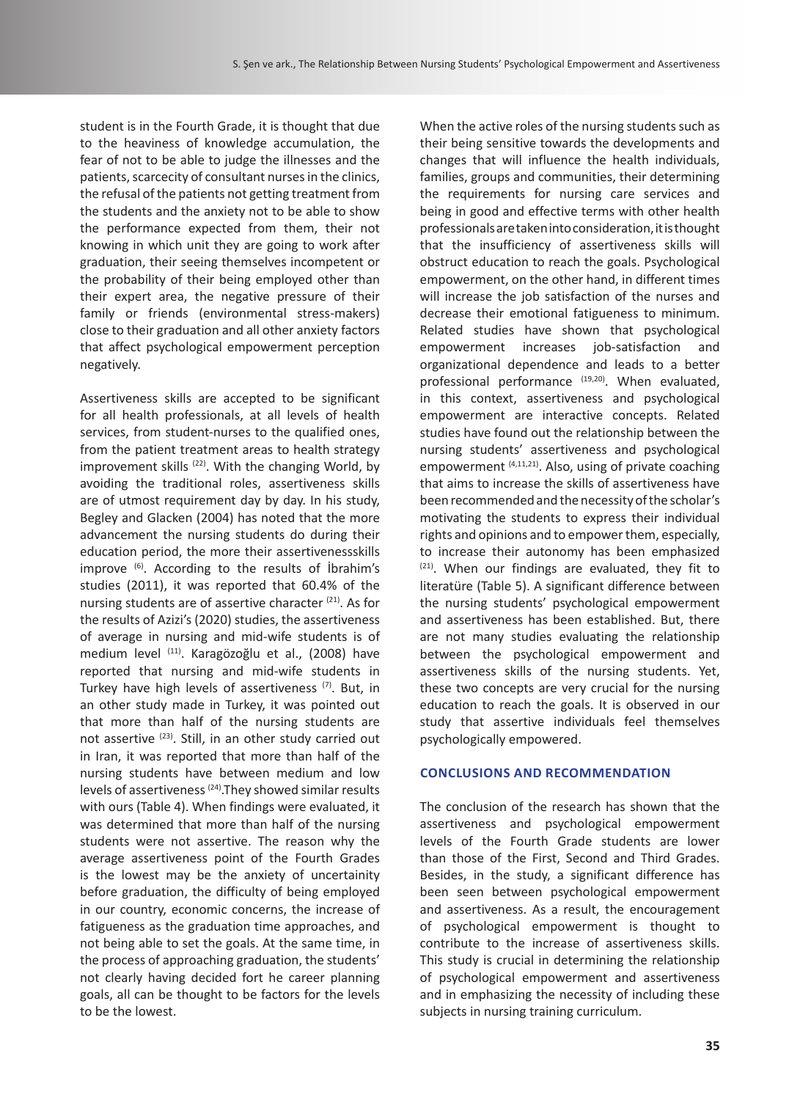student is in the Fourth Grade, it is thought that due to the heaviness of knowledge accumulation, the fear of not to be able to judge the illnesses and the patients, scarcecity of consultant nurses in the clinics, the refusal of the patients not getting treatment from the students and the anxiety not to be able to show the performance expected from them, their not knowing in which unit they are going to work after graduation, their seeing themselves incompetent or the probability of their being employed other than their expert area, the negative pressure of their family or friends (environmental stress-makers) close to their graduation and all other anxiety factors that affect psychological empowerment perception negatively.

Assertiveness skills are accepted to be significant for all health professionals, at all levels of health services, from student-nurses to the qualified ones, from the patient treatment areas to health strategy improvement skills  $(22)$ . With the changing World, by avoiding the traditional roles, assertiveness skills are of utmost requirement day by day. In his study, Begley and Glacken (2004) has noted that the more advancement the nursing students do during their education period, the more their assertivenessskills improve (6). According to the results of İbrahim's studies (2011), it was reported that 60.4% of the nursing students are of assertive character (21). As for the results of Azizi's (2020) studies, the assertiveness of average in nursing and mid-wife students is of medium level (11). Karagözoğlu et al., (2008) have reported that nursing and mid-wife students in Turkey have high levels of assertiveness<sup>(7)</sup>. But, in an other study made in Turkey, it was pointed out that more than half of the nursing students are not assertive <sup>(23)</sup>. Still, in an other study carried out in Iran, it was reported that more than half of the nursing students have between medium and low levels of assertiveness (24).They showed similar results with ours (Table 4). When findings were evaluated, it was determined that more than half of the nursing students were not assertive. The reason why the average assertiveness point of the Fourth Grades is the lowest may be the anxiety of uncertainity before graduation, the difficulty of being employed in our country, economic concerns, the increase of fatigueness as the graduation time approaches, and not being able to set the goals. At the same time, in the process of approaching graduation, the students' not clearly having decided fort he career planning goals, all can be thought to be factors for the levels to be the lowest.

When the active roles of the nursing students such as their being sensitive towards the developments and changes that will influence the health individuals, families, groups and communities, their determining the requirements for nursing care services and being in good and effective terms with other health professionals are taken into consideration, it is thought that the insufficiency of assertiveness skills will obstruct education to reach the goals. Psychological empowerment, on the other hand, in different times will increase the job satisfaction of the nurses and decrease their emotional fatigueness to minimum. Related studies have shown that psychological empowerment increases job-satisfaction and organizational dependence and leads to a better professional performance  $(19,20)$ . When evaluated, in this context, assertiveness and psychological empowerment are interactive concepts. Related studies have found out the relationship between the nursing students' assertiveness and psychological empowerment <sup>(4,11,21)</sup>. Also, using of private coaching that aims to increase the skills of assertiveness have been recommended and the necessity of the scholar's motivating the students to express their individual rights and opinions and to empower them, especially, to increase their autonomy has been emphasized (21). When our findings are evaluated, they fit to literatüre (Table 5). A significant difference between the nursing students' psychological empowerment and assertiveness has been established. But, there are not many studies evaluating the relationship between the psychological empowerment and assertiveness skills of the nursing students. Yet, these two concepts are very crucial for the nursing education to reach the goals. It is observed in our study that assertive individuals feel themselves psychologically empowered.

### **CONCLUSIONS AND RECOMMENDATION**

The conclusion of the research has shown that the assertiveness and psychological empowerment levels of the Fourth Grade students are lower than those of the First, Second and Third Grades. Besides, in the study, a significant difference has been seen between psychological empowerment and assertiveness. As a result, the encouragement of psychological empowerment is thought to contribute to the increase of assertiveness skills. This study is crucial in determining the relationship of psychological empowerment and assertiveness and in emphasizing the necessity of including these subjects in nursing training curriculum.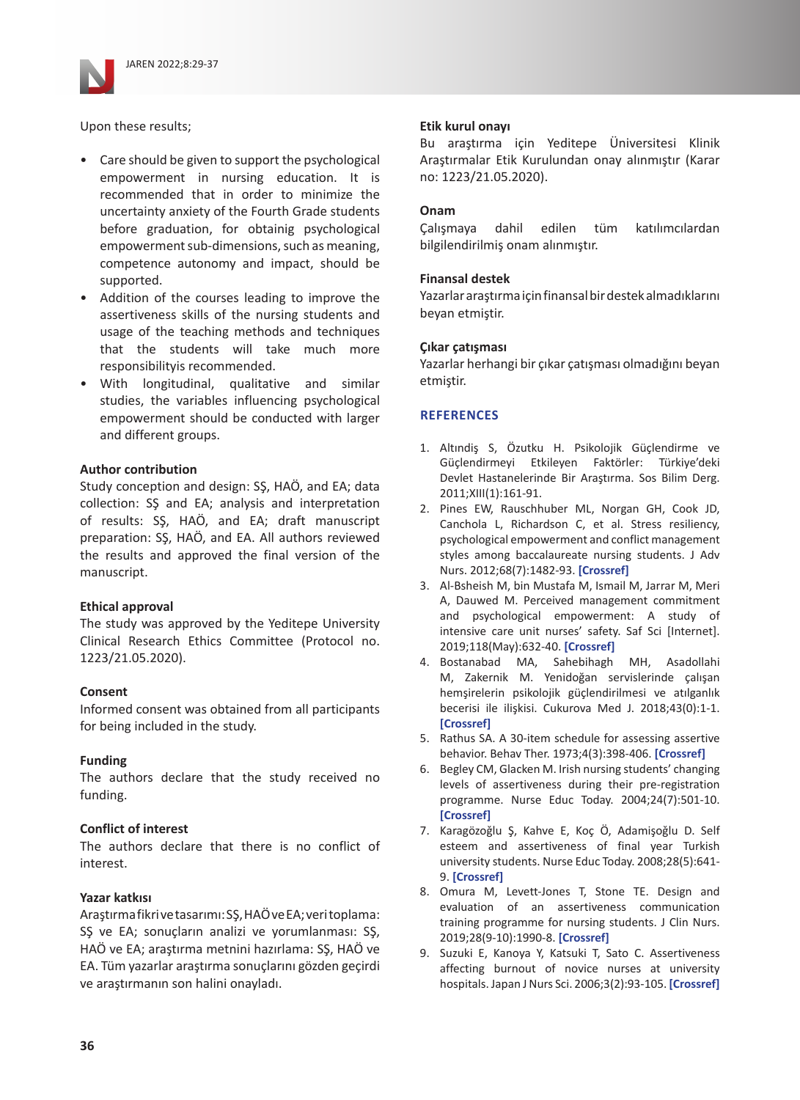

Upon these results;

- Care should be given to support the psychological empowerment in nursing education. It is recommended that in order to minimize the uncertainty anxiety of the Fourth Grade students before graduation, for obtainig psychological empowerment sub-dimensions, such as meaning, competence autonomy and impact, should be supported.
- Addition of the courses leading to improve the assertiveness skills of the nursing students and usage of the teaching methods and techniques that the students will take much more responsibilityis recommended.
- With longitudinal, qualitative and similar studies, the variables influencing psychological empowerment should be conducted with larger and different groups.

### **Author contribution**

Study conception and design: SŞ, HAÖ, and EA; data collection: SŞ and EA; analysis and interpretation of results: SŞ, HAÖ, and EA; draft manuscript preparation: SŞ, HAÖ, and EA. All authors reviewed the results and approved the final version of the manuscript.

### **Ethical approval**

The study was approved by the Yeditepe University Clinical Research Ethics Committee (Protocol no. 1223/21.05.2020).

#### **Consent**

Informed consent was obtained from all participants for being included in the study.

### **Funding**

The authors declare that the study received no funding.

### **Conflict of interest**

The authors declare that there is no conflict of interest.

### **Yazar katkısı**

Araştırma fikri ve tasarımı: SŞ, HAÖ ve EA; veri toplama: SŞ ve EA; sonuçların analizi ve yorumlanması: SŞ, HAÖ ve EA; araştırma metnini hazırlama: SŞ, HAÖ ve EA. Tüm yazarlar araştırma sonuçlarını gözden geçirdi ve araştırmanın son halini onayladı.

#### **Etik kurul onayı**

Bu araştırma için Yeditepe Üniversitesi Klinik Araştırmalar Etik Kurulundan onay alınmıştır (Karar no: 1223/21.05.2020).

#### **Onam**

Çalışmaya dahil edilen tüm katılımcılardan bilgilendirilmiş onam alınmıştır.

#### **Finansal destek**

Yazarlar araştırma için finansal bir destek almadıklarını beyan etmiştir.

#### **Çıkar çatışması**

Yazarlar herhangi bir çıkar çatışması olmadığını beyan etmiştir.

#### **REFERENCES**

- 1. Altındiş S, Özutku H. Psikolojik Güçlendirme ve Güçlendirmeyi Etkileyen Faktörler: Türkiye'deki Devlet Hastanelerinde Bir Araştırma. Sos Bilim Derg. 2011;XIII(1):161-91.
- 2. Pines EW, Rauschhuber ML, Norgan GH, Cook JD, Canchola L, Richardson C, et al. Stress resiliency, psychological empowerment and conflict management styles among baccalaureate nursing students. J Adv Nurs. 2012;68(7):1482-93. **[\[Crossref\]](https://doi.org/10.1111/j.1365-2648.2011.05875.x)**
- 3. Al-Bsheish M, bin Mustafa M, Ismail M, Jarrar M, Meri A, Dauwed M. Perceived management commitment and psychological empowerment: A study of intensive care unit nurses' safety. Saf Sci [Internet]. 2019;118(May):632-40. **[\[Crossref\]](https://doi.org/10.1016/j.ssci.2019.05.055)**
- 4. Bostanabad MA, Sahebihagh MH, Asadollahi M, Zakernik M. Yenidoğan servislerinde çalışan hemşirelerin psikolojik güçlendirilmesi ve atılganlık becerisi ile ilişkisi. Cukurova Med J. 2018;43(0):1-1. **[\[Crossref\]](https://doi.org/10.17826/cumj.389821)**
- 5. Rathus SA. A 30-item schedule for assessing assertive behavior. Behav Ther. 1973;4(3):398-406. **[\[Crossref\]](https://doi.org/10.1016/S0005-7894(73)80120-0)**
- 6. Begley CM, Glacken M. Irish nursing students' changing levels of assertiveness during their pre-registration programme. Nurse Educ Today. 2004;24(7):501-10. **[\[Crossref\]](https://doi.org/10.1016/j.nedt.2004.06.002)**
- 7. Karagözoğlu Ş, Kahve E, Koç Ö, Adamişoğlu D. Self esteem and assertiveness of final year Turkish university students. Nurse Educ Today. 2008;28(5):641- 9. **[\[Crossref\]](https://doi.org/10.1016/j.nedt.2007.09.010)**
- 8. Omura M, Levett-Jones T, Stone TE. Design and evaluation of an assertiveness communication training programme for nursing students. J Clin Nurs. 2019;28(9-10):1990-8. **[\[Crossref\]](https://doi.org/10.1111/jocn.14813)**
- 9. Suzuki E, Kanoya Y, Katsuki T, Sato C. Assertiveness affecting burnout of novice nurses at university hospitals. Japan J Nurs Sci. 2006;3(2):93-105. **[\[Crossref\]](https://doi.org/10.1111/j.1742-7924.2006.00058.x)**